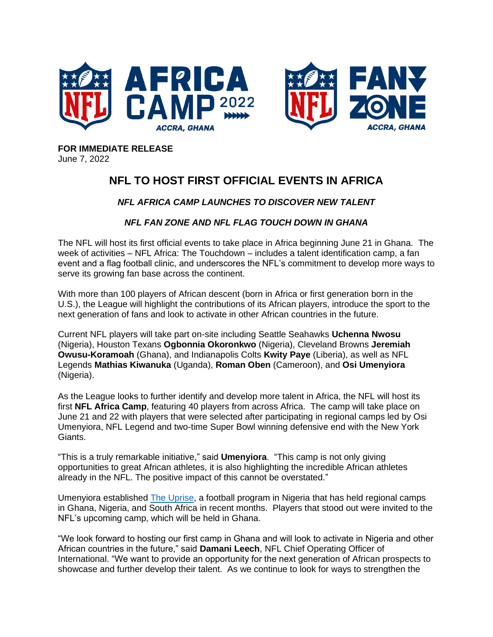

**FOR IMMEDIATE RELEASE** June 7, 2022

## **NFL TO HOST FIRST OFFICIAL EVENTS IN AFRICA**

## *NFL AFRICA CAMP LAUNCHES TO DISCOVER NEW TALENT*

## *NFL FAN ZONE AND NFL FLAG TOUCH DOWN IN GHANA*

The NFL will host its first official events to take place in Africa beginning June 21 in Ghana. The week of activities – NFL Africa: The Touchdown – includes a talent identification camp, a fan event and a flag football clinic, and underscores the NFL's commitment to develop more ways to serve its growing fan base across the continent.

With more than 100 players of African descent (born in Africa or first generation born in the U.S.), the League will highlight the contributions of its African players, introduce the sport to the next generation of fans and look to activate in other African countries in the future.

Current NFL players will take part on-site including Seattle Seahawks **Uchenna Nwosu** (Nigeria), Houston Texans **Ogbonnia Okoronkwo** (Nigeria), Cleveland Browns **Jeremiah Owusu-Koramoah** (Ghana), and Indianapolis Colts **Kwity Paye** (Liberia), as well as NFL Legends **Mathias Kiwanuka** (Uganda), **Roman Oben** (Cameroon), and **Osi Umenyiora** (Nigeria).

As the League looks to further identify and develop more talent in Africa, the NFL will host its first **NFL Africa Camp**, featuring 40 players from across Africa. The camp will take place on June 21 and 22 with players that were selected after participating in regional camps led by Osi Umenyiora, NFL Legend and two-time Super Bowl winning defensive end with the New York Giants.

"This is a truly remarkable initiative," said **Umenyiora**. "This camp is not only giving opportunities to great African athletes, it is also highlighting the incredible African athletes already in the NFL. The positive impact of this cannot be overstated."

Umenyiora established [The Uprise,](https://www.youtube.com/watch?v=CqG5LXYq51M) a football program in Nigeria that has held regional camps in Ghana, Nigeria, and South Africa in recent months. Players that stood out were invited to the NFL's upcoming camp, which will be held in Ghana.

"We look forward to hosting our first camp in Ghana and will look to activate in Nigeria and other African countries in the future," said **Damani Leech**, NFL Chief Operating Officer of International. "We want to provide an opportunity for the next generation of African prospects to showcase and further develop their talent. As we continue to look for ways to strengthen the